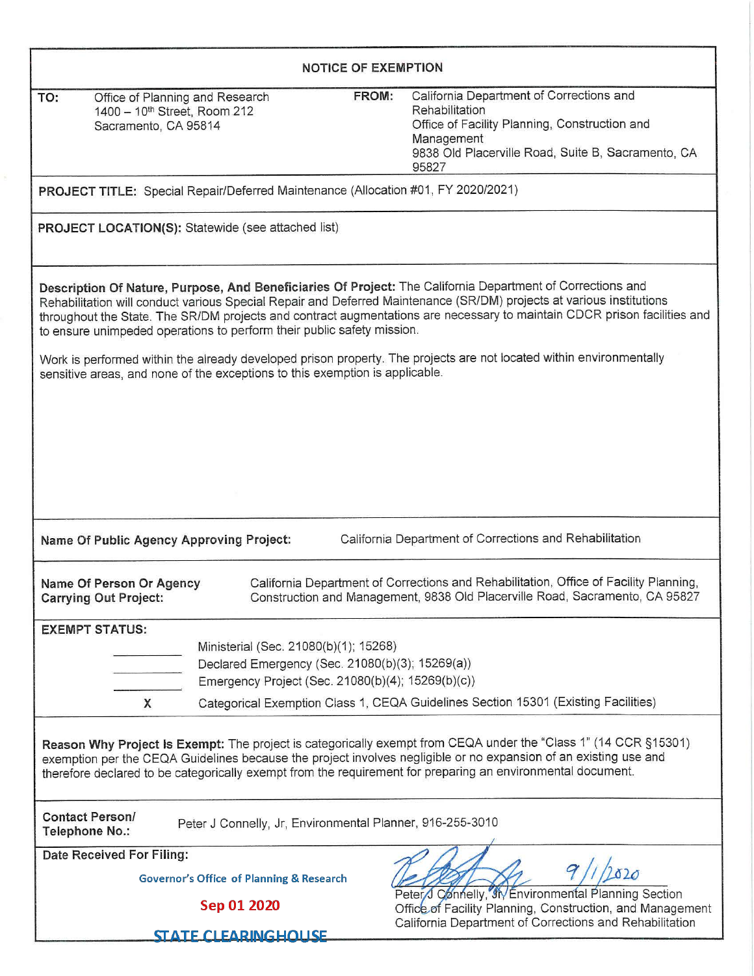| <b>NOTICE OF EXEMPTION</b>                                                                                                                                                                                                                                                                                                                         |                                                                                                                                               |                                                                                                                                                                                                                                                  |  |  |  |  |  |  |
|----------------------------------------------------------------------------------------------------------------------------------------------------------------------------------------------------------------------------------------------------------------------------------------------------------------------------------------------------|-----------------------------------------------------------------------------------------------------------------------------------------------|--------------------------------------------------------------------------------------------------------------------------------------------------------------------------------------------------------------------------------------------------|--|--|--|--|--|--|
| Office of Planning and Research<br>TO:<br>1400 - 10 <sup>th</sup> Street, Room 212<br>Sacramento, CA 95814                                                                                                                                                                                                                                         | FROM:                                                                                                                                         | California Department of Corrections and<br>Rehabilitation<br>Office of Facility Planning, Construction and<br>Management<br>9838 Old Placerville Road, Suite B, Sacramento, CA<br>95827                                                         |  |  |  |  |  |  |
| PROJECT TITLE: Special Repair/Deferred Maintenance (Allocation #01, FY 2020/2021)                                                                                                                                                                                                                                                                  |                                                                                                                                               |                                                                                                                                                                                                                                                  |  |  |  |  |  |  |
| <b>PROJECT LOCATION(S):</b> Statewide (see attached list)                                                                                                                                                                                                                                                                                          |                                                                                                                                               |                                                                                                                                                                                                                                                  |  |  |  |  |  |  |
| Description Of Nature, Purpose, And Beneficiaries Of Project: The California Department of Corrections and<br>to ensure unimpeded operations to perform their public safety mission.                                                                                                                                                               |                                                                                                                                               | Rehabilitation will conduct various Special Repair and Deferred Maintenance (SR/DM) projects at various institutions<br>throughout the State. The SR/DM projects and contract augmentations are necessary to maintain CDCR prison facilities and |  |  |  |  |  |  |
| Work is performed within the already developed prison property. The projects are not located within environmentally<br>sensitive areas, and none of the exceptions to this exemption is applicable.                                                                                                                                                |                                                                                                                                               |                                                                                                                                                                                                                                                  |  |  |  |  |  |  |
|                                                                                                                                                                                                                                                                                                                                                    |                                                                                                                                               |                                                                                                                                                                                                                                                  |  |  |  |  |  |  |
|                                                                                                                                                                                                                                                                                                                                                    |                                                                                                                                               |                                                                                                                                                                                                                                                  |  |  |  |  |  |  |
|                                                                                                                                                                                                                                                                                                                                                    |                                                                                                                                               |                                                                                                                                                                                                                                                  |  |  |  |  |  |  |
| California Department of Corrections and Rehabilitation<br>Name Of Public Agency Approving Project:                                                                                                                                                                                                                                                |                                                                                                                                               |                                                                                                                                                                                                                                                  |  |  |  |  |  |  |
| Name Of Person Or Agency<br><b>Carrying Out Project:</b>                                                                                                                                                                                                                                                                                           |                                                                                                                                               | California Department of Corrections and Rehabilitation, Office of Facility Planning,<br>Construction and Management, 9838 Old Placerville Road, Sacramento, CA 95827                                                                            |  |  |  |  |  |  |
| <b>EXEMPT STATUS:</b>                                                                                                                                                                                                                                                                                                                              |                                                                                                                                               |                                                                                                                                                                                                                                                  |  |  |  |  |  |  |
|                                                                                                                                                                                                                                                                                                                                                    | Ministerial (Sec. 21080(b)(1); 15268)<br>Declared Emergency (Sec. 21080(b)(3); 15269(a))<br>Emergency Project (Sec. 21080(b)(4); 15269(b)(c)) |                                                                                                                                                                                                                                                  |  |  |  |  |  |  |
| X                                                                                                                                                                                                                                                                                                                                                  |                                                                                                                                               | Categorical Exemption Class 1, CEQA Guidelines Section 15301 (Existing Facilities)                                                                                                                                                               |  |  |  |  |  |  |
| Reason Why Project Is Exempt: The project is categorically exempt from CEQA under the "Class 1" (14 CCR §15301)<br>exemption per the CEQA Guidelines because the project involves negligible or no expansion of an existing use and<br>therefore declared to be categorically exempt from the requirement for preparing an environmental document. |                                                                                                                                               |                                                                                                                                                                                                                                                  |  |  |  |  |  |  |
| <b>Contact Person/</b><br>Peter J Connelly, Jr, Environmental Planner, 916-255-3010<br>Telephone No.:                                                                                                                                                                                                                                              |                                                                                                                                               |                                                                                                                                                                                                                                                  |  |  |  |  |  |  |
| Date Received For Filing:<br><b>Governor's Office of Planning &amp; Research</b>                                                                                                                                                                                                                                                                   |                                                                                                                                               | 020                                                                                                                                                                                                                                              |  |  |  |  |  |  |
| Sep 01 2020                                                                                                                                                                                                                                                                                                                                        |                                                                                                                                               | Peter/J Connelly, IN Environmental Planning Section<br>Office of Facility Planning, Construction, and Management                                                                                                                                 |  |  |  |  |  |  |
| <b>STATE CLEARINGHOUSE</b>                                                                                                                                                                                                                                                                                                                         |                                                                                                                                               | California Department of Corrections and Rehabilitation                                                                                                                                                                                          |  |  |  |  |  |  |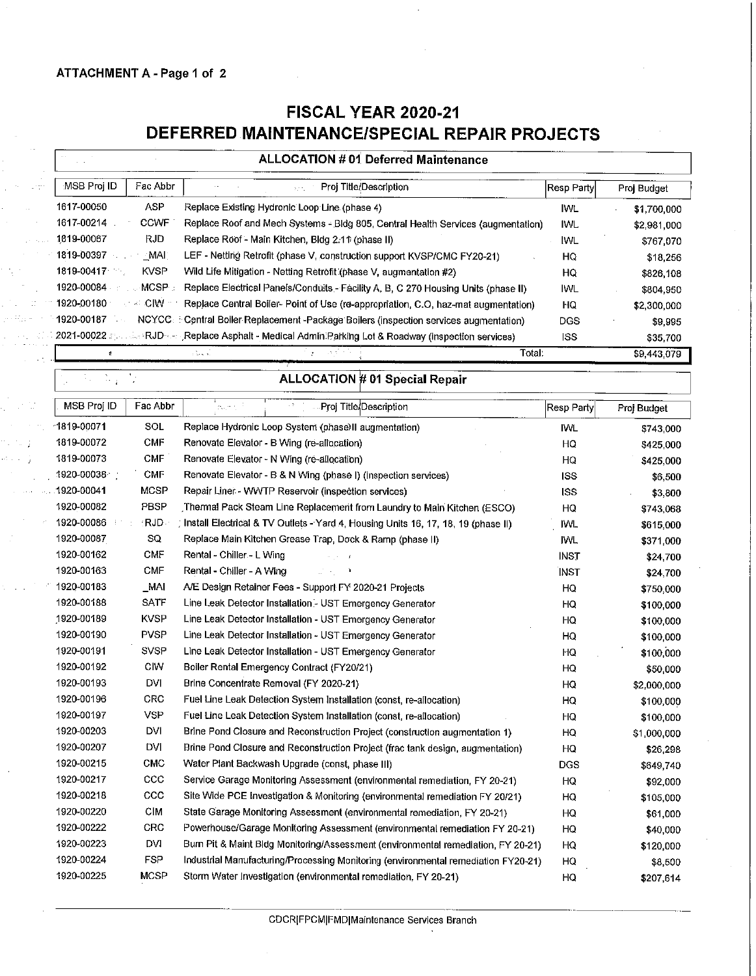## ATTACHMENT A- Page 1 of 2

a a Mayo 99 M.P is Touc  $\mathbb{Z}^2$  $\pm$  5  $\pm$ 

## **FISCAL YEAR 2020-21 DEFERRED MAINTENANCE/SPECIAL REPAIR PROJECTS**

| MSB Proj ID<br>Fac Abbr<br>Proj Title/Description<br>ΣÔ,<br>1617-00050<br>ASP<br>Replace Existing Hydronic Loop Line (phase 4)<br><b>CCWF</b><br>1617-00214<br>Replace Roof and Mech Systems - Bldg 805, Central Health Services (augmentation)<br>1819-00067<br>RJD.<br>Replace Roof - Main Kitchen, Bldg 2.11 (phase II) | Resp Party <br>IWL.<br><b>IWL</b><br>IWL<br>HQ<br>HQ<br>IWL<br>HQ<br><b>DGS</b> | Proj Budget<br>\$1,700,000<br>\$2,981,000<br>\$767,070<br>\$18,256<br>\$826,108<br>\$804,950 |
|----------------------------------------------------------------------------------------------------------------------------------------------------------------------------------------------------------------------------------------------------------------------------------------------------------------------------|---------------------------------------------------------------------------------|----------------------------------------------------------------------------------------------|
|                                                                                                                                                                                                                                                                                                                            |                                                                                 |                                                                                              |
|                                                                                                                                                                                                                                                                                                                            |                                                                                 |                                                                                              |
|                                                                                                                                                                                                                                                                                                                            |                                                                                 |                                                                                              |
|                                                                                                                                                                                                                                                                                                                            |                                                                                 |                                                                                              |
| 1819-00397<br>$-MAI$<br>LEF - Netting Retrofit (phase V, construction support KVSP/CMC FY20-21)                                                                                                                                                                                                                            |                                                                                 |                                                                                              |
| <b>KVSP</b><br>1819-00417<br>79.,<br>Wild Life Mitigation - Netting Retrofit (phase V, augmentation #2)                                                                                                                                                                                                                    |                                                                                 |                                                                                              |
| 1920-00084<br>MCSP:<br>Replace Electrical Panels/Conduits - Facility A, B, C 270 Housing Units (phase II)                                                                                                                                                                                                                  |                                                                                 |                                                                                              |
| $\sim$ CIW<br>1920-00180<br>Replace Central Boiler- Point of Use (re-appropriation, C.O, haz-mat augmentation)                                                                                                                                                                                                             |                                                                                 | \$2,300,000                                                                                  |
| 1920-00187<br>NCYCC.<br>Central Boller Replacement -Package Bollers (inspection services augmentation)                                                                                                                                                                                                                     |                                                                                 | \$9,995                                                                                      |
| 2021-00022 Special RJD or Replace Asphalt - Medical Admin Parking Lot & Roadway (inspection services)                                                                                                                                                                                                                      | <b>ISS</b>                                                                      | \$35,700                                                                                     |
| لة عامة :<br>$\Omega$                                                                                                                                                                                                                                                                                                      | Total:                                                                          | $\overline{$9,443,079}$                                                                      |
| $\sum_{\mathbf{k}}$<br><b>ALLOCATION # 01 Special Repair</b>                                                                                                                                                                                                                                                               |                                                                                 |                                                                                              |
| MSB Proj ID<br>Fac Abbr<br>Proj Title/Description<br>bear to                                                                                                                                                                                                                                                               | Resp Party                                                                      | Proj Budget                                                                                  |
| SOL<br>1819-00071<br>Replace Hydronic Loop System (phase)II augmentation)                                                                                                                                                                                                                                                  | <b>IWL</b>                                                                      | \$743,000                                                                                    |
| <b>CMF</b><br>1819-00072<br>Renovate Elevator - B Wing (re-allocation)                                                                                                                                                                                                                                                     | HQ                                                                              | \$425,000                                                                                    |
| <b>CMF</b><br>1819-00073<br>Renovate Elevator - N Wing (re-allocation)                                                                                                                                                                                                                                                     | HQ                                                                              | \$425,000                                                                                    |
| 1920-00038<br><b>CMF</b><br>Renovate Elevator - B & N Wing (phase I) (inspection services)                                                                                                                                                                                                                                 | ISS                                                                             | \$6,500                                                                                      |
| <b>MCSP</b><br>1920-00041<br>Repair Liner - WWTP Reservoir (inspection services)                                                                                                                                                                                                                                           | <b>ISS</b>                                                                      | \$3,800                                                                                      |
| PBSP<br>1920-00082<br>Thermal Pack Steam Line Replacement from Laundry to Main Kitchen (ESCO)                                                                                                                                                                                                                              | HQ                                                                              | \$743,068                                                                                    |
| RJD.<br>1920-00086<br>Install Electrical & TV Outlets - Yard 4, Housing Units 16, 17, 18, 19 (phase II)                                                                                                                                                                                                                    | IWL.                                                                            | \$615,000                                                                                    |
| 1920-00087<br>SQ<br>Replace Main Kitchen Grease Trap, Dock & Ramp (phase II)                                                                                                                                                                                                                                               | IWL.                                                                            | \$371,000                                                                                    |
| <b>CMF</b><br>1920-00162<br>Rental - Chiller - L Wing                                                                                                                                                                                                                                                                      | <b>INST</b>                                                                     | \$24,700                                                                                     |
| <b>CMF</b><br>1920-00163<br>Rental - Chiller - A Wing                                                                                                                                                                                                                                                                      | <b>INST</b>                                                                     | \$24,700                                                                                     |
| 1920-00183<br>_MAI<br>A/E Design Retainer Fees - Support FY 2020-21 Projects                                                                                                                                                                                                                                               | HQ                                                                              | \$750,000                                                                                    |
| 1920-00188<br><b>SATF</b><br>Line Leak Detector Installation - UST Emergency Generator                                                                                                                                                                                                                                     | HO                                                                              | \$100,000                                                                                    |
| <b>KVSP</b><br>1920-00189<br>Line Leak Detector Installation - UST Emergency Generator                                                                                                                                                                                                                                     | HQ                                                                              | \$100,000                                                                                    |
| 1920-00190<br><b>PVSP</b><br>Line Leak Detector Installation - UST Emergency Generator                                                                                                                                                                                                                                     | HQ                                                                              | \$100,000                                                                                    |
| <b>SVSP</b><br>1920-00191<br>Line Leak Detector Installation - UST Emergency Generator                                                                                                                                                                                                                                     | HQ                                                                              | \$100,000                                                                                    |
| 1920-00192<br><b>CIW</b><br>Boiler Rental Emergency Contract (FY20/21)                                                                                                                                                                                                                                                     | HO                                                                              | \$50,000                                                                                     |
| DVI<br>1920-00193<br>Brine Concentrate Removal (FY 2020-21)                                                                                                                                                                                                                                                                | HQ                                                                              | \$2,000,000                                                                                  |
| CRC<br>1920-00196<br>Fuel Line Leak Detection System Installation (const, re-allocation)                                                                                                                                                                                                                                   | HQ                                                                              | \$100,000                                                                                    |
| <b>VSP</b><br>1920-00197<br>Fuel Line Leak Detection System Installation (const, re-allocation)                                                                                                                                                                                                                            | HQ                                                                              | \$100,000                                                                                    |
| DVI<br>1920-00203<br>Brine Pond Closure and Reconstruction Project (construction augmentation 1)                                                                                                                                                                                                                           | HQ                                                                              | \$1,000,000                                                                                  |
| DVI<br>1920-00207<br>Brine Pond Closure and Reconstruction Project (frac tank design, augmentation)                                                                                                                                                                                                                        | HO                                                                              | \$26,298                                                                                     |
| 1920-00215<br><b>CMC</b><br>Water Plant Backwash Upgrade (const, phase III)                                                                                                                                                                                                                                                | <b>DGS</b>                                                                      | \$649,740                                                                                    |
| $_{\rm ccc}$<br>1920-00217<br>Service Garage Monitoring Assessment (environmental remediation, FY 20-21)                                                                                                                                                                                                                   | HQ                                                                              | \$92,000                                                                                     |
| 1920-00218<br>ccc<br>Site Wide PCE Investigation & Monitoring (environmental remediation FY 20/21)                                                                                                                                                                                                                         | HQ                                                                              | \$105,000                                                                                    |
| CIM<br>1920-00220<br>State Garage Monitoring Assessment (environmental remediation, FY 20-21)                                                                                                                                                                                                                              | HQ                                                                              | \$61,000                                                                                     |
| CRC<br>1920-00222<br>Powerhouse/Garage Monitoring Assessment (environmental remediation FY 20-21)                                                                                                                                                                                                                          | HQ                                                                              | \$40,000                                                                                     |
| 1920-00223<br>DVI<br>Burn Pit & Maint Bldg Monitoring/Assessment (environmental remediation, FY 20-21)                                                                                                                                                                                                                     | HQ                                                                              | \$120,000                                                                                    |

1920-00224 FSP Industrial Manufacturing/Processing Monitoring (environmental remediation FY20-21) HQ \$8,500 1920-00225 MCSP Storm Water Investigation {environmental remediation, FY 20-21) HQ \$207,614